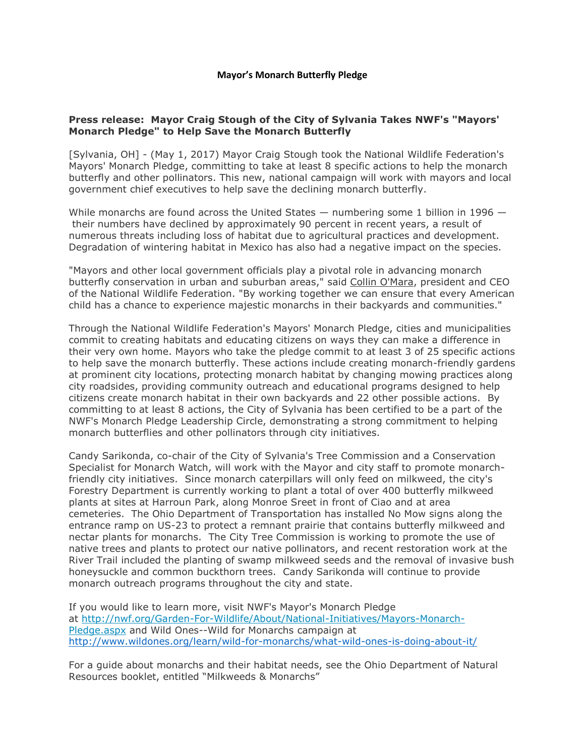## **Press release: Mayor Craig Stough of the City of Sylvania Takes NWF's "Mayors' Monarch Pledge" to Help Save the Monarch Butterfly**

[Sylvania, OH] - (May 1, 2017) Mayor Craig Stough took the National Wildlife Federation's Mayors' Monarch Pledge, committing to take at least 8 specific actions to help the monarch butterfly and other pollinators. This new, national campaign will work with mayors and local government chief executives to help save the declining monarch butterfly.

While monarchs are found across the United States  $-$  numbering some 1 billion in 1996  $$ their numbers have declined by approximately 90 percent in recent years, a result of numerous threats including loss of habitat due to agricultural practices and development. Degradation of wintering habitat in Mexico has also had a negative impact on the species.

"Mayors and other local government officials play a pivotal role in advancing monarch butterfly conservation in urban and suburban areas," said Collin O'Mara, president and CEO of the National Wildlife Federation. "By working together we can ensure that every American child has a chance to experience majestic monarchs in their backyards and communities."

Through the National Wildlife Federation's Mayors' Monarch Pledge, cities and municipalities commit to creating habitats and educating citizens on ways they can make a difference in their very own home. Mayors who take the pledge commit to at least 3 of 25 specific actions to help save the monarch butterfly. These actions include creating monarch-friendly gardens at prominent city locations, protecting monarch habitat by changing mowing practices along city roadsides, providing community outreach and educational programs designed to help citizens create monarch habitat in their own backyards and 22 other possible actions. By committing to at least 8 actions, the City of Sylvania has been certified to be a part of the NWF's Monarch Pledge Leadership Circle, demonstrating a strong commitment to helping monarch butterflies and other pollinators through city initiatives.

Candy Sarikonda, co-chair of the City of Sylvania's Tree Commission and a Conservation Specialist for Monarch Watch, will work with the Mayor and city staff to promote monarchfriendly city initiatives. Since monarch caterpillars will only feed on milkweed, the city's Forestry Department is currently working to plant a total of over 400 butterfly milkweed plants at sites at Harroun Park, along Monroe Sreet in front of Ciao and at area cemeteries. The Ohio Department of Transportation has installed No Mow signs along the entrance ramp on US-23 to protect a remnant prairie that contains butterfly milkweed and nectar plants for monarchs. The City Tree Commission is working to promote the use of native trees and plants to protect our native pollinators, and recent restoration work at the River Trail included the planting of swamp milkweed seeds and the removal of invasive bush honeysuckle and common buckthorn trees. Candy Sarikonda will continue to provide monarch outreach programs throughout the city and state.

If you would like to learn more, visit NWF's Mayor's Monarch Pledge at [http://nwf.org/Garden-For-Wildlife/About/National-Initiatives/Mayors-Monarch-](http://nwf.org/Garden-For-Wildlife/About/National-Initiatives/Mayors-Monarch-Pledge.aspx)[Pledge.aspx](http://nwf.org/Garden-For-Wildlife/About/National-Initiatives/Mayors-Monarch-Pledge.aspx) and Wild Ones--Wild for Monarchs campaign at <http://www.wildones.org/learn/wild-for-monarchs/what-wild-ones-is-doing-about-it/>

For a guide about monarchs and their habitat needs, see the Ohio Department of Natural Resources booklet, entitled "Milkweeds & Monarchs"